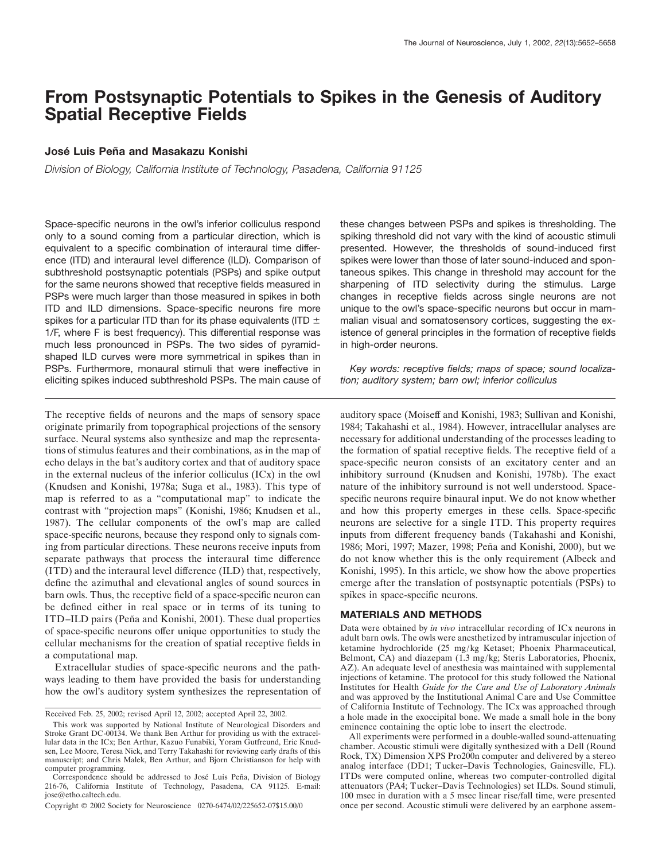# **From Postsynaptic Potentials to Spikes in the Genesis of Auditory Spatial Receptive Fields**

# **José Luis Peña and Masakazu Konishi**

*Division of Biology, California Institute of Technology, Pasadena, California 91125*

Space-specific neurons in the owl's inferior colliculus respond only to a sound coming from a particular direction, which is equivalent to a specific combination of interaural time difference (ITD) and interaural level difference (ILD). Comparison of subthreshold postsynaptic potentials (PSPs) and spike output for the same neurons showed that receptive fields measured in PSPs were much larger than those measured in spikes in both ITD and ILD dimensions. Space-specific neurons fire more spikes for a particular ITD than for its phase equivalents (ITD  $\pm$ 1/F, where F is best frequency). This differential response was much less pronounced in PSPs. The two sides of pyramidshaped ILD curves were more symmetrical in spikes than in PSPs. Furthermore, monaural stimuli that were ineffective in eliciting spikes induced subthreshold PSPs. The main cause of

The receptive fields of neurons and the maps of sensory space originate primarily from topographical projections of the sensory surface. Neural systems also synthesize and map the representations of stimulus features and their combinations, as in the map of echo delays in the bat's auditory cortex and that of auditory space in the external nucleus of the inferior colliculus (ICx) in the owl (Knudsen and Konishi, 1978a; Suga et al., 1983). This type of map is referred to as a "computational map" to indicate the contrast with "projection maps" (Konishi, 1986; Knudsen et al., 1987). The cellular components of the owl's map are called space-specific neurons, because they respond only to signals coming from particular directions. These neurons receive inputs from separate pathways that process the interaural time difference (ITD) and the interaural level difference (ILD) that, respectively, define the azimuthal and elevational angles of sound sources in barn owls. Thus, the receptive field of a space-specific neuron can be defined either in real space or in terms of its tuning to ITD–ILD pairs (Peña and Konishi, 2001). These dual properties of space-specific neurons offer unique opportunities to study the cellular mechanisms for the creation of spatial receptive fields in a computational map.

Extracellular studies of space-specific neurons and the pathways leading to them have provided the basis for understanding how the owl's auditory system synthesizes the representation of these changes between PSPs and spikes is thresholding. The spiking threshold did not vary with the kind of acoustic stimuli presented. However, the thresholds of sound-induced first spikes were lower than those of later sound-induced and spontaneous spikes. This change in threshold may account for the sharpening of ITD selectivity during the stimulus. Large changes in receptive fields across single neurons are not unique to the owl's space-specific neurons but occur in mammalian visual and somatosensory cortices, suggesting the existence of general principles in the formation of receptive fields in high-order neurons.

*Key words: receptive fields; maps of space; sound localization; auditory system; barn owl; inferior colliculus*

auditory space (Moiseff and Konishi, 1983; Sullivan and Konishi, 1984; Takahashi et al., 1984). However, intracellular analyses are necessary for additional understanding of the processes leading to the formation of spatial receptive fields. The receptive field of a space-specific neuron consists of an excitatory center and an inhibitory surround (Knudsen and Konishi, 1978b). The exact nature of the inhibitory surround is not well understood. Spacespecific neurons require binaural input. We do not know whether and how this property emerges in these cells. Space-specific neurons are selective for a single ITD. This property requires inputs from different frequency bands (Takahashi and Konishi, 1986; Mori, 1997; Mazer, 1998; Peña and Konishi, 2000), but we do not know whether this is the only requirement (Albeck and Konishi, 1995). In this article, we show how the above properties emerge after the translation of postsynaptic potentials (PSPs) to spikes in space-specific neurons.

# **MATERIALS AND METHODS**

Data were obtained by *in vivo* intracellular recording of ICx neurons in adult barn owls. The owls were anesthetized by intramuscular injection of ketamine hydrochloride (25 mg/kg Ketaset; Phoenix Pharmaceutical, Belmont, CA) and diazepam (1.3 mg/kg; Steris Laboratories, Phoenix, AZ). An adequate level of anesthesia was maintained with supplemental injections of ketamine. The protocol for this study followed the National Institutes for Health *Guide for the Care and Use of Laboratory Animals* and was approved by the Institutional Animal Care and Use Committee of California Institute of Technology. The ICx was approached through a hole made in the exoccipital bone. We made a small hole in the bony eminence containing the optic lobe to insert the electrode.

All experiments were performed in a double-walled sound-attenuating chamber. Acoustic stimuli were digitally synthesized with a Dell (Round Rock, TX) Dimension XPS Pro200n computer and delivered by a stereo analog interface (DD1; Tucker–Davis Technologies, Gainesville, FL). ITDs were computed online, whereas two computer-controlled digital attenuators (PA4; Tucker–Davis Technologies) set ILDs. Sound stimuli, 100 msec in duration with a 5 msec linear rise/fall time, were presented once per second. Acoustic stimuli were delivered by an earphone assem-

Received Feb. 25, 2002; revised April 12, 2002; accepted April 22, 2002.

This work was supported by National Institute of Neurological Disorders and Stroke Grant DC-00134. We thank Ben Arthur for providing us with the extracellular data in the ICx; Ben Arthur, Kazuo Funabiki, Yoram Gutfreund, Eric Knudsen, Lee Moore, Teresa Nick, and Terry Takahashi for reviewing early drafts of this manuscript; and Chris Malek, Ben Arthur, and Bjorn Christianson for help with computer programming.

Correspondence should be addressed to José Luis Peña, Division of Biology 216-76, California Institute of Technology, Pasadena, CA 91125. E-mail: jose@etho.caltech.edu.

Copyright © 2002 Society for Neuroscience 0270-6474/02/225652-07\$15.00/0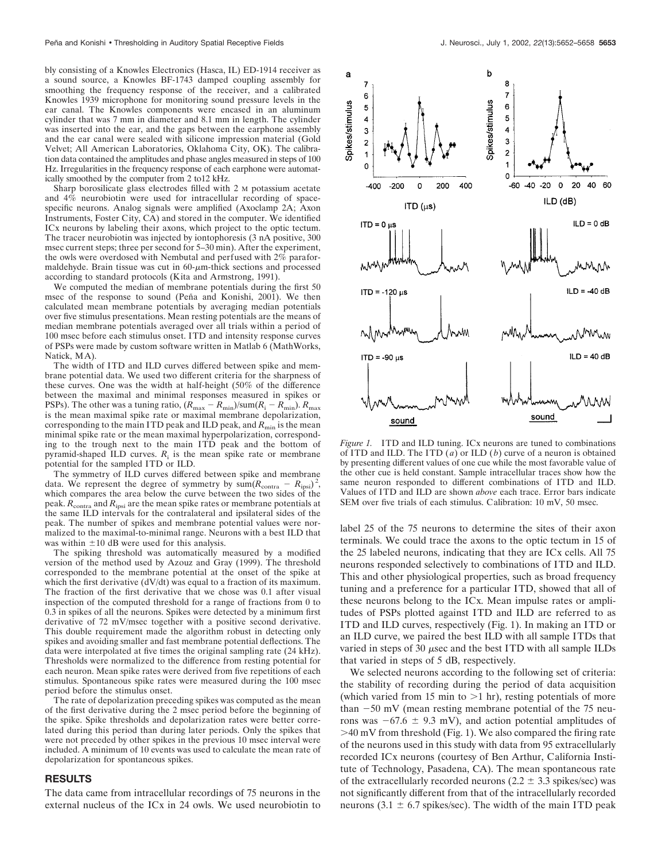bly consisting of a Knowles Electronics (Hasca, IL) ED-1914 receiver as a sound source, a Knowles BF-1743 damped coupling assembly for smoothing the frequency response of the receiver, and a calibrated Knowles 1939 microphone for monitoring sound pressure levels in the ear canal. The Knowles components were encased in an aluminum cylinder that was 7 mm in diameter and 8.1 mm in length. The cylinder was inserted into the ear, and the gaps between the earphone assembly and the ear canal were sealed with silicone impression material (Gold Velvet; All American Laboratories, Oklahoma City, OK). The calibration data contained the amplitudes and phase angles measured in steps of 100 Hz. Irregularities in the frequency response of each earphone were automatically smoothed by the computer from 2 to12 kHz.

Sharp borosilicate glass electrodes filled with 2 M potassium acetate and 4% neurobiotin were used for intracellular recording of spacespecific neurons. Analog signals were amplified (Axoclamp 2A; Axon Instruments, Foster City, CA) and stored in the computer. We identified ICx neurons by labeling their axons, which project to the optic tectum. The tracer neurobiotin was injected by iontophoresis (3 nA positive, 300 msec current steps; three per second for 5–30 min). After the experiment, the owls were overdosed with Nembutal and perfused with 2% paraformaldehyde. Brain tissue was cut in  $60$ - $\mu$ m-thick sections and processed according to standard protocols (Kita and Armstrong, 1991).

We computed the median of membrane potentials during the first 50 msec of the response to sound (Peña and Konishi, 2001). We then calculated mean membrane potentials by averaging median potentials over five stimulus presentations. Mean resting potentials are the means of median membrane potentials averaged over all trials within a period of 100 msec before each stimulus onset. ITD and intensity response curves of PSPs were made by custom software written in Matlab 6 (MathWorks, Natick, MA).

The width of ITD and ILD curves differed between spike and membrane potential data. We used two different criteria for the sharpness of these curves. One was the width at half-height (50% of the difference between the maximal and minimal responses measured in spikes or PSPs). The other was a tuning ratio,  $(R_{\text{max}} - R_{\text{min}})/\text{sum}(R_i - R_{\text{min}})$ .  $R_{\text{max}}$ is the mean maximal spike rate or maximal membrane depolarization, corresponding to the main ITD peak and ILD peak, and  $R_{\text{min}}$  is the mean minimal spike rate or the mean maximal hyperpolarization, corresponding to the trough next to the main ITD peak and the bottom of pyramid-shaped ILD curves.  $R_i$  is the mean spike rate or membrane potential for the sampled ITD or ILD.

The symmetry of ILD curves differed between spike and membrane data. We represent the degree of symmetry by  $\text{sum}(R_{\text{contra}} - R_{\text{ipsi}})^2$ , which compares the area below the curve between the two sides of the peak.  $R_{\text{contra}}$  and  $R_{\text{ipsi}}$  are the mean spike rates or membrane potentials at the same ILD intervals for the contralateral and ipsilateral sides of the peak. The number of spikes and membrane potential values were normalized to the maximal-to-minimal range. Neurons with a best ILD that was within  $\pm 10$  dB were used for this analysis.

The spiking threshold was automatically measured by a modified version of the method used by Azouz and Gray (1999). The threshold corresponded to the membrane potential at the onset of the spike at which the first derivative (dV/dt) was equal to a fraction of its maximum. The fraction of the first derivative that we chose was 0.1 after visual inspection of the computed threshold for a range of fractions from 0 to 0.3 in spikes of all the neurons. Spikes were detected by a minimum first derivative of 72 mV/msec together with a positive second derivative. This double requirement made the algorithm robust in detecting only spikes and avoiding smaller and fast membrane potential deflections. The data were interpolated at five times the original sampling rate (24 kHz). Thresholds were normalized to the difference from resting potential for each neuron. Mean spike rates were derived from five repetitions of each stimulus. Spontaneous spike rates were measured during the 100 msec period before the stimulus onset.

The rate of depolarization preceding spikes was computed as the mean of the first derivative during the 2 msec period before the beginning of the spike. Spike thresholds and depolarization rates were better correlated during this period than during later periods. Only the spikes that were not preceded by other spikes in the previous 10 msec interval were included. A minimum of 10 events was used to calculate the mean rate of depolarization for spontaneous spikes.

#### **RESULTS**

The data came from intracellular recordings of 75 neurons in the external nucleus of the ICx in 24 owls. We used neurobiotin to



*Figure 1.* ITD and ILD tuning. ICx neurons are tuned to combinations of ITD and ILD. The ITD (*a*) or ILD (*b*) curve of a neuron is obtained by presenting different values of one cue while the most favorable value of the other cue is held constant. Sample intracellular traces show how the same neuron responded to different combinations of ITD and ILD. Values of ITD and ILD are shown *above* each trace. Error bars indicate SEM over five trials of each stimulus. Calibration: 10 mV, 50 msec.

label 25 of the 75 neurons to determine the sites of their axon terminals. We could trace the axons to the optic tectum in 15 of the 25 labeled neurons, indicating that they are ICx cells. All 75 neurons responded selectively to combinations of ITD and ILD. This and other physiological properties, such as broad frequency tuning and a preference for a particular ITD, showed that all of these neurons belong to the ICx. Mean impulse rates or amplitudes of PSPs plotted against ITD and ILD are referred to as ITD and ILD curves, respectively (Fig. 1). In making an ITD or an ILD curve, we paired the best ILD with all sample ITDs that varied in steps of 30  $\mu$ sec and the best ITD with all sample ILDs that varied in steps of 5 dB, respectively.

We selected neurons according to the following set of criteria: the stability of recording during the period of data acquisition (which varied from 15 min to  $>1$  hr), resting potentials of more than -50 mV (mean resting membrane potential of the 75 neurons was  $-67.6 \pm 9.3$  mV), and action potential amplitudes of  $>40$  mV from threshold (Fig. 1). We also compared the firing rate of the neurons used in this study with data from 95 extracellularly recorded ICx neurons (courtesy of Ben Arthur, California Institute of Technology, Pasadena, CA). The mean spontaneous rate of the extracellularly recorded neurons ( $2.2 \pm 3.3$  spikes/sec) was not significantly different from that of the intracellularly recorded neurons (3.1  $\pm$  6.7 spikes/sec). The width of the main ITD peak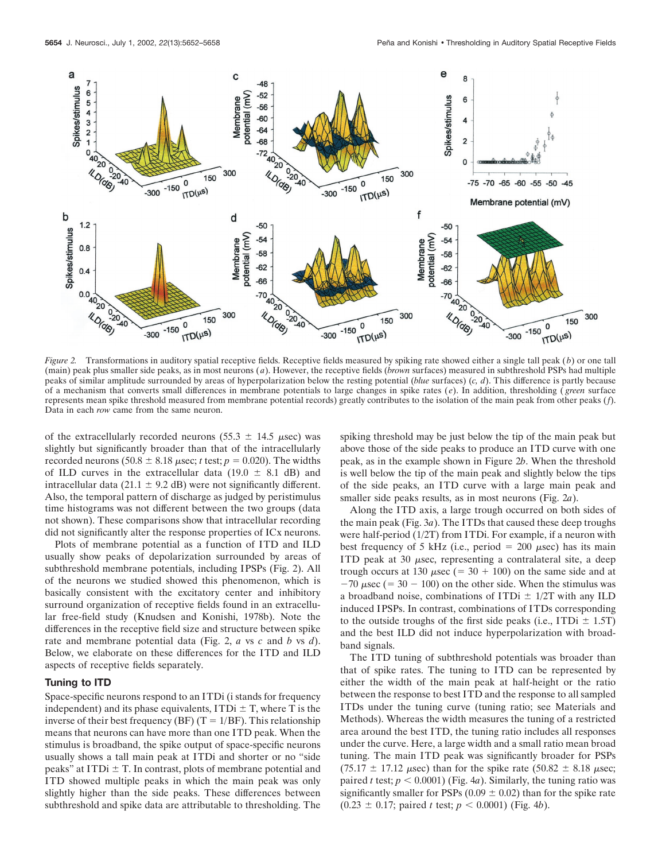

*Figure 2.* Transformations in auditory spatial receptive fields. Receptive fields measured by spiking rate showed either a single tall peak (*b*) or one tall (main) peak plus smaller side peaks, as in most neurons (*a*). However, the receptive fields (*brown* surfaces) measured in subthreshold PSPs had multiple peaks of similar amplitude surrounded by areas of hyperpolarization below the resting potential (*blue* surfaces) (*c, d*). This difference is partly because of a mechanism that converts small differences in membrane potentials to large changes in spike rates ( *e*). In addition, thresholding ( *green* surface represents mean spike threshold measured from membrane potential records) greatly contributes to the isolation of the main peak from other peaks (*f*). Data in each *row* came from the same neuron.

of the extracellularly recorded neurons (55.3  $\pm$  14.5  $\mu$ sec) was slightly but significantly broader than that of the intracellularly recorded neurons  $(50.8 \pm 8.18 \mu \text{sec}; t \text{ test}; p = 0.020)$ . The widths of ILD curves in the extracellular data (19.0  $\pm$  8.1 dB) and intracellular data (21.1  $\pm$  9.2 dB) were not significantly different. Also, the temporal pattern of discharge as judged by peristimulus time histograms was not different between the two groups (data not shown). These comparisons show that intracellular recording did not significantly alter the response properties of ICx neurons.

Plots of membrane potential as a function of ITD and ILD usually show peaks of depolarization surrounded by areas of subthreshold membrane potentials, including IPSPs (Fig. 2). All of the neurons we studied showed this phenomenon, which is basically consistent with the excitatory center and inhibitory surround organization of receptive fields found in an extracellular free-field study (Knudsen and Konishi, 1978b). Note the differences in the receptive field size and structure between spike rate and membrane potential data (Fig. 2, *a* vs *c* and *b* vs *d*). Below, we elaborate on these differences for the ITD and ILD aspects of receptive fields separately.

# **Tuning to ITD**

Space-specific neurons respond to an ITDi (i stands for frequency independent) and its phase equivalents, ITDi  $\pm$  T, where T is the inverse of their best frequency (BF) (T =  $1/BF$ ). This relationship means that neurons can have more than one ITD peak. When the stimulus is broadband, the spike output of space-specific neurons usually shows a tall main peak at ITDi and shorter or no "side peaks" at ITDi  $\pm$  T. In contrast, plots of membrane potential and ITD showed multiple peaks in which the main peak was only slightly higher than the side peaks. These differences between subthreshold and spike data are attributable to thresholding. The

spiking threshold may be just below the tip of the main peak but above those of the side peaks to produce an ITD curve with one peak, as in the example shown in Figure 2*b*. When the threshold is well below the tip of the main peak and slightly below the tips of the side peaks, an ITD curve with a large main peak and smaller side peaks results, as in most neurons (Fig. 2*a*).

Along the ITD axis, a large trough occurred on both sides of the main peak (Fig. 3*a*). The ITDs that caused these deep troughs were half-period (1/2T) from ITDi. For example, if a neuron with best frequency of 5 kHz (i.e., period  $= 200 \mu \text{sec}$ ) has its main ITD peak at 30  $\mu$ sec, representing a contralateral site, a deep trough occurs at 130  $\mu$ sec (= 30 + 100) on the same side and at  $-70 \mu \text{sec}$  (= 30 – 100) on the other side. When the stimulus was a broadband noise, combinations of ITDi  $\pm$  1/2T with any ILD induced IPSPs. In contrast, combinations of ITDs corresponding to the outside troughs of the first side peaks (i.e., ITDi  $\pm$  1.5T) and the best ILD did not induce hyperpolarization with broadband signals.

The ITD tuning of subthreshold potentials was broader than that of spike rates. The tuning to ITD can be represented by either the width of the main peak at half-height or the ratio between the response to best ITD and the response to all sampled ITDs under the tuning curve (tuning ratio; see Materials and Methods). Whereas the width measures the tuning of a restricted area around the best ITD, the tuning ratio includes all responses under the curve. Here, a large width and a small ratio mean broad tuning. The main ITD peak was significantly broader for PSPs  $(75.17 \pm 17.12 \mu sec)$  than for the spike rate  $(50.82 \pm 8.18 \mu sec;$ paired *t* test;  $p < 0.0001$ ) (Fig. 4*a*). Similarly, the tuning ratio was significantly smaller for PSPs ( $0.09 \pm 0.02$ ) than for the spike rate  $(0.23 \pm 0.17;$  paired *t* test;  $p < 0.0001$ ) (Fig. 4*b*).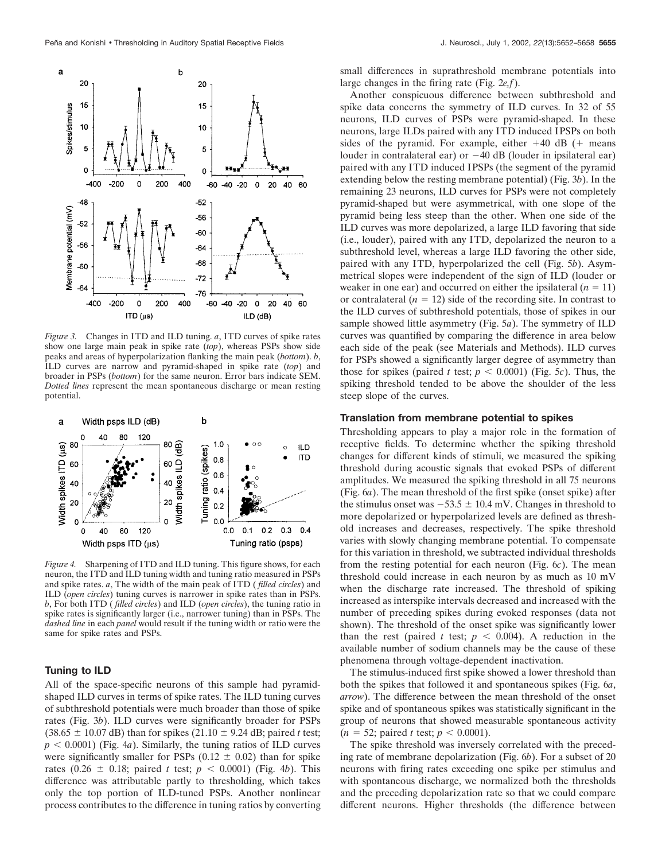

*Figure 3.* Changes in ITD and ILD tuning. *a*, ITD curves of spike rates show one large main peak in spike rate (*top*), whereas PSPs show side peaks and areas of hyperpolarization flanking the main peak (*bottom*). *b*, ILD curves are narrow and pyramid-shaped in spike rate (*top*) and broader in PSPs (*bottom*) for the same neuron. Error bars indicate SEM. *Dotted lines* represent the mean spontaneous discharge or mean resting potential.



*Figure 4.* Sharpening of ITD and ILD tuning. This figure shows, for each neuron, the ITD and ILD tuning width and tuning ratio measured in PSPs and spike rates. *a*, The width of the main peak of ITD ( *filled circles*) and ILD (*open circles*) tuning curves is narrower in spike rates than in PSPs. *b*, For both ITD ( *filled circles*) and ILD (*open circles*), the tuning ratio in spike rates is significantly larger (i.e., narrower tuning) than in PSPs. The *dashed line* in each *panel* would result if the tuning width or ratio were the same for spike rates and PSPs.

# **Tuning to ILD**

All of the space-specific neurons of this sample had pyramidshaped ILD curves in terms of spike rates. The ILD tuning curves of subthreshold potentials were much broader than those of spike rates (Fig. 3*b*). ILD curves were significantly broader for PSPs  $(38.65 \pm 10.07 \text{ dB})$  than for spikes  $(21.10 \pm 9.24 \text{ dB})$ ; paired *t* test;  $p < 0.0001$ ) (Fig. 4*a*). Similarly, the tuning ratios of ILD curves were significantly smaller for PSPs  $(0.12 \pm 0.02)$  than for spike rates (0.26  $\pm$  0.18; paired *t* test;  $p < 0.0001$ ) (Fig. 4*b*). This difference was attributable partly to thresholding, which takes only the top portion of ILD-tuned PSPs. Another nonlinear process contributes to the difference in tuning ratios by converting

small differences in suprathreshold membrane potentials into large changes in the firing rate (Fig. 2*e,f*).

Another conspicuous difference between subthreshold and spike data concerns the symmetry of ILD curves. In 32 of 55 neurons, ILD curves of PSPs were pyramid-shaped. In these neurons, large ILDs paired with any ITD induced IPSPs on both sides of the pyramid. For example, either  $+40$  dB ( $+$  means louder in contralateral ear) or -40 dB (louder in ipsilateral ear) paired with any ITD induced IPSPs (the segment of the pyramid extending below the resting membrane potential) (Fig. 3*b*). In the remaining 23 neurons, ILD curves for PSPs were not completely pyramid-shaped but were asymmetrical, with one slope of the pyramid being less steep than the other. When one side of the ILD curves was more depolarized, a large ILD favoring that side (i.e., louder), paired with any ITD, depolarized the neuron to a subthreshold level, whereas a large ILD favoring the other side, paired with any ITD, hyperpolarized the cell (Fig. 5*b*). Asymmetrical slopes were independent of the sign of ILD (louder or weaker in one ear) and occurred on either the ipsilateral  $(n = 11)$ or contralateral  $(n = 12)$  side of the recording site. In contrast to the ILD curves of subthreshold potentials, those of spikes in our sample showed little asymmetry (Fig. 5*a*). The symmetry of ILD curves was quantified by comparing the difference in area below each side of the peak (see Materials and Methods). ILD curves for PSPs showed a significantly larger degree of asymmetry than those for spikes (paired *t* test;  $p < 0.0001$ ) (Fig. 5*c*). Thus, the spiking threshold tended to be above the shoulder of the less steep slope of the curves.

#### **Translation from membrane potential to spikes**

Thresholding appears to play a major role in the formation of receptive fields. To determine whether the spiking threshold changes for different kinds of stimuli, we measured the spiking threshold during acoustic signals that evoked PSPs of different amplitudes. We measured the spiking threshold in all 75 neurons (Fig. 6*a*). The mean threshold of the first spike (onset spike) after the stimulus onset was  $-53.5 \pm 10.4$  mV. Changes in threshold to more depolarized or hyperpolarized levels are defined as threshold increases and decreases, respectively. The spike threshold varies with slowly changing membrane potential. To compensate for this variation in threshold, we subtracted individual thresholds from the resting potential for each neuron (Fig. 6*c*). The mean threshold could increase in each neuron by as much as 10 mV when the discharge rate increased. The threshold of spiking increased as interspike intervals decreased and increased with the number of preceding spikes during evoked responses (data not shown). The threshold of the onset spike was significantly lower than the rest (paired *t* test;  $p < 0.004$ ). A reduction in the available number of sodium channels may be the cause of these phenomena through voltage-dependent inactivation.

The stimulus-induced first spike showed a lower threshold than both the spikes that followed it and spontaneous spikes (Fig. 6*a*, *arrow*). The difference between the mean threshold of the onset spike and of spontaneous spikes was statistically significant in the group of neurons that showed measurable spontaneous activity  $(n = 52; \text{ paired } t \text{ test}; p < 0.0001).$ 

The spike threshold was inversely correlated with the preceding rate of membrane depolarization (Fig. 6*b*). For a subset of 20 neurons with firing rates exceeding one spike per stimulus and with spontaneous discharge, we normalized both the thresholds and the preceding depolarization rate so that we could compare different neurons. Higher thresholds (the difference between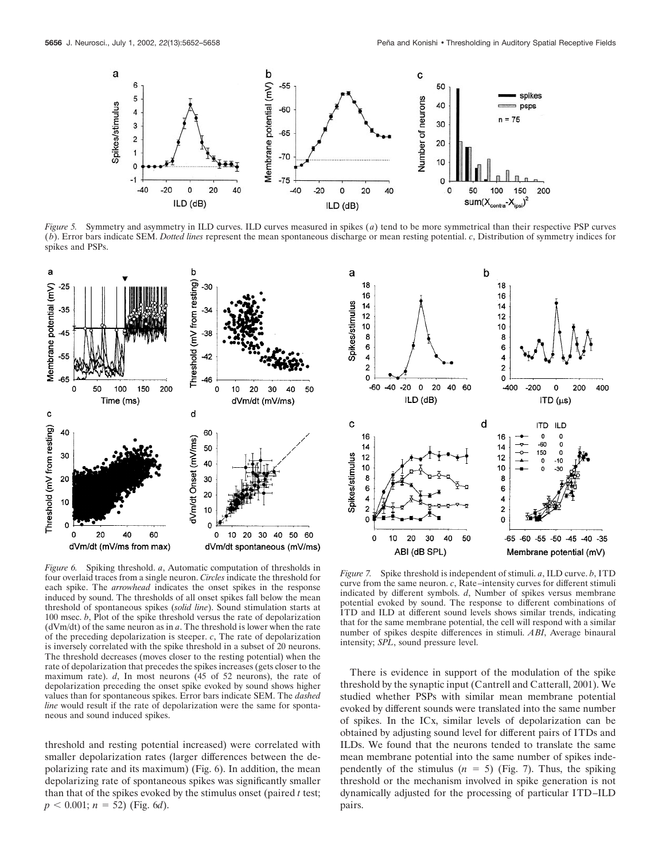

*Figure 5.* Symmetry and asymmetry in ILD curves. ILD curves measured in spikes (*a*) tend to be more symmetrical than their respective PSP curves (*b*). Error bars indicate SEM. *Dotted lines* represent the mean spontaneous discharge or mean resting potential. *c*, Distribution of symmetry indices for spikes and PSPs.



*Figure 6.* Spiking threshold. *a*, Automatic computation of thresholds in four overlaid traces from a single neuron. *Circles* indicate the threshold for each spike. The *arrowhead* indicates the onset spikes in the response induced by sound. The thresholds of all onset spikes fall below the mean threshold of spontaneous spikes (*solid line*). Sound stimulation starts at 100 msec. *b*, Plot of the spike threshold versus the rate of depolarization (dVm/dt) of the same neuron as in *a*. The threshold is lower when the rate of the preceding depolarization is steeper. *c*, The rate of depolarization is inversely correlated with the spike threshold in a subset of 20 neurons. The threshold decreases (moves closer to the resting potential) when the rate of depolarization that precedes the spikes increases (gets closer to the maximum rate). *d*, In most neurons (45 of 52 neurons), the rate of depolarization preceding the onset spike evoked by sound shows higher values than for spontaneous spikes. Error bars indicate SEM. The *dashed line* would result if the rate of depolarization were the same for spontaneous and sound induced spikes.

threshold and resting potential increased) were correlated with smaller depolarization rates (larger differences between the depolarizing rate and its maximum) (Fig. 6). In addition, the mean depolarizing rate of spontaneous spikes was significantly smaller than that of the spikes evoked by the stimulus onset (paired *t* test;  $p < 0.001$ ;  $n = 52$ ) (Fig. 6*d*).



*Figure 7.* Spike threshold is independent of stimuli. *a*, ILD curve. *b*, ITD curve from the same neuron. *c*, Rate–intensity curves for different stimuli indicated by different symbols. *d*, Number of spikes versus membrane potential evoked by sound. The response to different combinations of ITD and ILD at different sound levels shows similar trends, indicating that for the same membrane potential, the cell will respond with a similar number of spikes despite differences in stimuli. *ABI*, Average binaural intensity; *SPL*, sound pressure level.

There is evidence in support of the modulation of the spike threshold by the synaptic input (Cantrell and Catterall, 2001). We studied whether PSPs with similar mean membrane potential evoked by different sounds were translated into the same number of spikes. In the ICx, similar levels of depolarization can be obtained by adjusting sound level for different pairs of ITDs and ILDs. We found that the neurons tended to translate the same mean membrane potential into the same number of spikes independently of the stimulus  $(n = 5)$  (Fig. 7). Thus, the spiking threshold or the mechanism involved in spike generation is not dynamically adjusted for the processing of particular ITD–ILD pairs.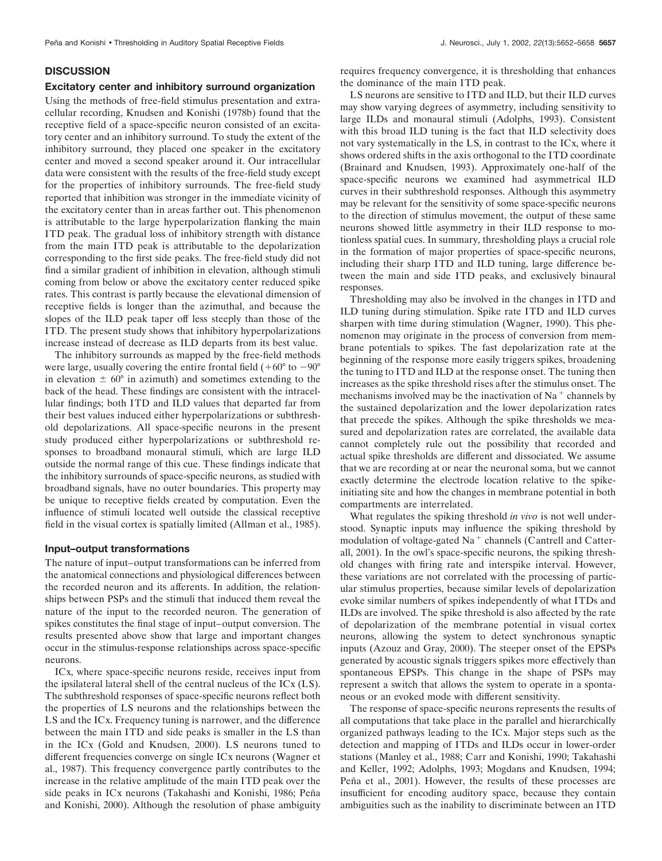#### **DISCUSSION**

### **Excitatory center and inhibitory surround organization**

Using the methods of free-field stimulus presentation and extracellular recording, Knudsen and Konishi (1978b) found that the receptive field of a space-specific neuron consisted of an excitatory center and an inhibitory surround. To study the extent of the inhibitory surround, they placed one speaker in the excitatory center and moved a second speaker around it. Our intracellular data were consistent with the results of the free-field study except for the properties of inhibitory surrounds. The free-field study reported that inhibition was stronger in the immediate vicinity of the excitatory center than in areas farther out. This phenomenon is attributable to the large hyperpolarization flanking the main ITD peak. The gradual loss of inhibitory strength with distance from the main ITD peak is attributable to the depolarization corresponding to the first side peaks. The free-field study did not find a similar gradient of inhibition in elevation, although stimuli coming from below or above the excitatory center reduced spike rates. This contrast is partly because the elevational dimension of receptive fields is longer than the azimuthal, and because the slopes of the ILD peak taper off less steeply than those of the ITD. The present study shows that inhibitory hyperpolarizations increase instead of decrease as ILD departs from its best value.

The inhibitory surrounds as mapped by the free-field methods were large, usually covering the entire frontal field  $(+60^{\circ}$  to  $-90^{\circ}$ in elevation  $\pm 60^{\circ}$  in azimuth) and sometimes extending to the back of the head. These findings are consistent with the intracellular findings; both ITD and ILD values that departed far from their best values induced either hyperpolarizations or subthreshold depolarizations. All space-specific neurons in the present study produced either hyperpolarizations or subthreshold responses to broadband monaural stimuli, which are large ILD outside the normal range of this cue. These findings indicate that the inhibitory surrounds of space-specific neurons, as studied with broadband signals, have no outer boundaries. This property may be unique to receptive fields created by computation. Even the influence of stimuli located well outside the classical receptive field in the visual cortex is spatially limited (Allman et al., 1985).

# **Input–output transformations**

The nature of input–output transformations can be inferred from the anatomical connections and physiological differences between the recorded neuron and its afferents. In addition, the relationships between PSPs and the stimuli that induced them reveal the nature of the input to the recorded neuron. The generation of spikes constitutes the final stage of input–output conversion. The results presented above show that large and important changes occur in the stimulus-response relationships across space-specific neurons.

ICx, where space-specific neurons reside, receives input from the ipsilateral lateral shell of the central nucleus of the ICx (LS). The subthreshold responses of space-specific neurons reflect both the properties of LS neurons and the relationships between the LS and the ICx. Frequency tuning is narrower, and the difference between the main ITD and side peaks is smaller in the LS than in the ICx (Gold and Knudsen, 2000). LS neurons tuned to different frequencies converge on single ICx neurons (Wagner et al., 1987). This frequency convergence partly contributes to the increase in the relative amplitude of the main ITD peak over the side peaks in ICx neurons (Takahashi and Konishi, 1986; Peña and Konishi, 2000). Although the resolution of phase ambiguity

requires frequency convergence, it is thresholding that enhances the dominance of the main ITD peak.

LS neurons are sensitive to ITD and ILD, but their ILD curves may show varying degrees of asymmetry, including sensitivity to large ILDs and monaural stimuli (Adolphs, 1993). Consistent with this broad ILD tuning is the fact that ILD selectivity does not vary systematically in the LS, in contrast to the ICx, where it shows ordered shifts in the axis orthogonal to the ITD coordinate (Brainard and Knudsen, 1993). Approximately one-half of the space-specific neurons we examined had asymmetrical ILD curves in their subthreshold responses. Although this asymmetry may be relevant for the sensitivity of some space-specific neurons to the direction of stimulus movement, the output of these same neurons showed little asymmetry in their ILD response to motionless spatial cues. In summary, thresholding plays a crucial role in the formation of major properties of space-specific neurons, including their sharp ITD and ILD tuning, large difference between the main and side ITD peaks, and exclusively binaural responses.

Thresholding may also be involved in the changes in ITD and ILD tuning during stimulation. Spike rate ITD and ILD curves sharpen with time during stimulation (Wagner, 1990). This phenomenon may originate in the process of conversion from membrane potentials to spikes. The fast depolarization rate at the beginning of the response more easily triggers spikes, broadening the tuning to ITD and ILD at the response onset. The tuning then increases as the spike threshold rises after the stimulus onset. The mechanisms involved may be the inactivation of  $Na<sup>+</sup>$  channels by the sustained depolarization and the lower depolarization rates that precede the spikes. Although the spike thresholds we measured and depolarization rates are correlated, the available data cannot completely rule out the possibility that recorded and actual spike thresholds are different and dissociated. We assume that we are recording at or near the neuronal soma, but we cannot exactly determine the electrode location relative to the spikeinitiating site and how the changes in membrane potential in both compartments are interrelated.

What regulates the spiking threshold *in vivo* is not well understood. Synaptic inputs may influence the spiking threshold by modulation of voltage-gated  $Na<sup>+</sup>$  channels (Cantrell and Catterall, 2001). In the owl's space-specific neurons, the spiking threshold changes with firing rate and interspike interval. However, these variations are not correlated with the processing of particular stimulus properties, because similar levels of depolarization evoke similar numbers of spikes independently of what ITDs and ILDs are involved. The spike threshold is also affected by the rate of depolarization of the membrane potential in visual cortex neurons, allowing the system to detect synchronous synaptic inputs (Azouz and Gray, 2000). The steeper onset of the EPSPs generated by acoustic signals triggers spikes more effectively than spontaneous EPSPs. This change in the shape of PSPs may represent a switch that allows the system to operate in a spontaneous or an evoked mode with different sensitivity.

The response of space-specific neurons represents the results of all computations that take place in the parallel and hierarchically organized pathways leading to the ICx. Major steps such as the detection and mapping of ITDs and ILDs occur in lower-order stations (Manley et al., 1988; Carr and Konishi, 1990; Takahashi and Keller, 1992; Adolphs, 1993; Mogdans and Knudsen, 1994; Peña et al., 2001). However, the results of these processes are insufficient for encoding auditory space, because they contain ambiguities such as the inability to discriminate between an ITD